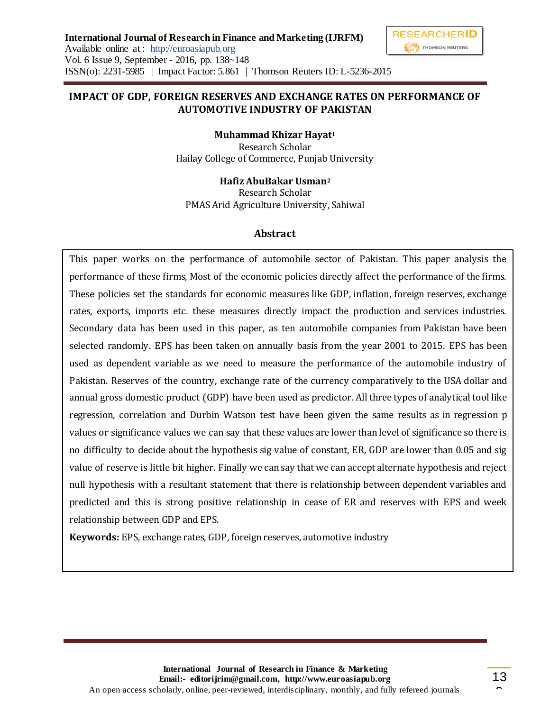

### **IMPACT OF GDP, FOREIGN RESERVES AND EXCHANGE RATES ON PERFORMANCE OF AUTOMOTIVE INDUSTRY OF PAKISTAN**

**Muhammad Khizar Hayat<sup>1</sup>** Research Scholar Hailay College of Commerce, Punjab University

**Hafiz AbuBakar Usman<sup>2</sup>**

Research Scholar PMAS Arid Agriculture University, Sahiwal

# **Abstract**

This paper works on the performance of automobile sector of Pakistan. This paper analysis the performance of these firms, Most of the economic policies directly affect the performance of the firms. These policies set the standards for economic measures like GDP, inflation, foreign reserves, exchange rates, exports, imports etc. these measures directly impact the production and services industries. Secondary data has been used in this paper, as ten automobile companies from Pakistan have been selected randomly. EPS has been taken on annually basis from the year 2001 to 2015. EPS has been used as dependent variable as we need to measure the performance of the automobile industry of Pakistan. Reserves of the country, exchange rate of the currency comparatively to the USA dollar and annual gross domestic product (GDP) have been used as predictor. All three types of analytical tool like regression, correlation and Durbin Watson test have been given the same results as in regression p values or significance values we can say that these values are lower than level of significance so there is no difficulty to decide about the hypothesis sig value of constant, ER, GDP are lower than 0.05 and sig value of reserve is little bit higher. Finally we can say that we can accept alternate hypothesis and reject null hypothesis with a resultant statement that there is relationship between dependent variables and predicted and this is strong positive relationship in cease of ER and reserves with EPS and week relationship between GDP and EPS.

**Keywords:** EPS, exchange rates, GDP, foreign reserves, automotive industry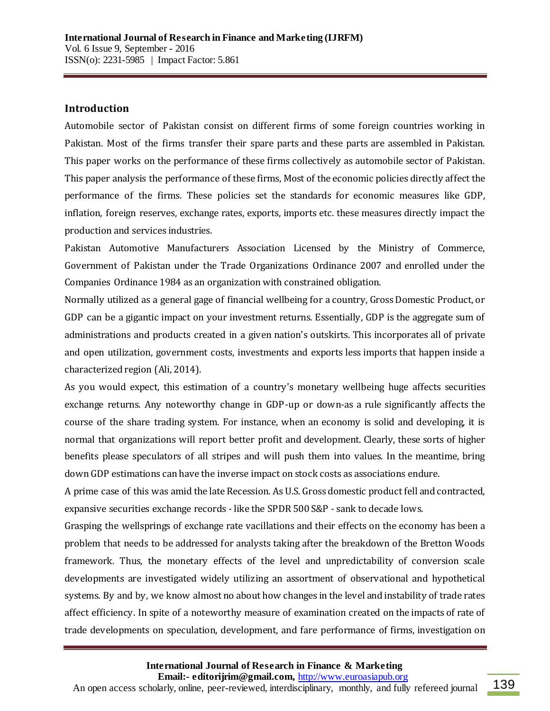#### **Introduction**

Automobile sector of Pakistan consist on different firms of some foreign countries working in Pakistan. Most of the firms transfer their spare parts and these parts are assembled in Pakistan. This paper works on the performance of these firms collectively as automobile sector of Pakistan. This paper analysis the performance of these firms, Most of the economic policies directly affect the performance of the firms. These policies set the standards for economic measures like GDP, inflation, foreign reserves, exchange rates, exports, imports etc. these measures directly impact the production and services industries.

Pakistan Automotive Manufacturers Association Licensed by the Ministry of Commerce, Government of Pakistan under the Trade Organizations Ordinance 2007 and enrolled under the Companies Ordinance 1984 as an organization with constrained obligation.

Normally utilized as a general gage of financial wellbeing for a country, Gross Domestic Product, or GDP can be a gigantic impact on your investment returns. Essentially, GDP is the aggregate sum of administrations and products created in a given nation's outskirts. This incorporates all of private and open utilization, government costs, investments and exports less imports that happen inside a characterized region (Ali, 2014).

As you would expect, this estimation of a country's monetary wellbeing huge affects securities exchange returns. Any noteworthy change in GDP-up or down-as a rule significantly affects the course of the share trading system. For instance, when an economy is solid and developing, it is normal that organizations will report better profit and development. Clearly, these sorts of higher benefits please speculators of all stripes and will push them into values. In the meantime, bring down GDP estimations can have the inverse impact on stock costs as associations endure.

A prime case of this was amid the late Recession. As U.S. Gross domestic product fell and contracted, expansive securities exchange records - like the SPDR 500 S&P - sank to decade lows.

Grasping the wellsprings of exchange rate vacillations and their effects on the economy has been a problem that needs to be addressed for analysts taking after the breakdown of the Bretton Woods framework. Thus, the monetary effects of the level and unpredictability of conversion scale developments are investigated widely utilizing an assortment of observational and hypothetical systems. By and by, we know almost no about how changes in the level and instability of trade rates affect efficiency. In spite of a noteworthy measure of examination created on the impacts of rate of trade developments on speculation, development, and fare performance of firms, investigation on

**International Journal of Research in Finance & Marketing**

 **Email:- editorijrim@gmail.com,** http://www.euroasiapub.org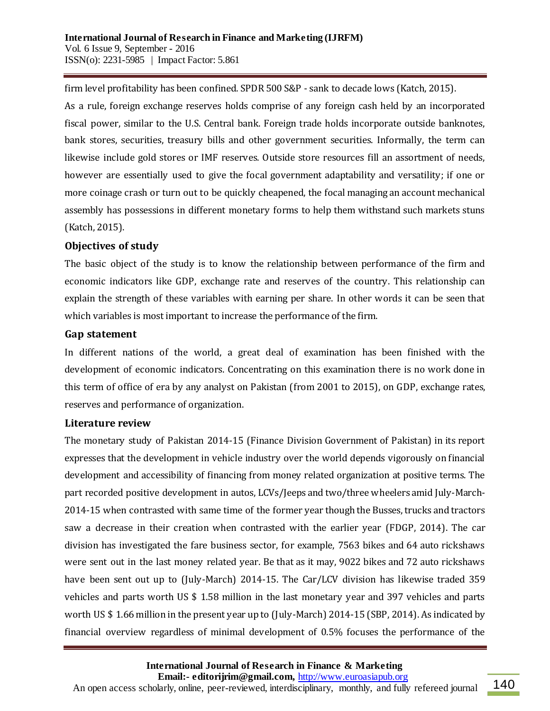firm level profitability has been confined. SPDR 500 S&P - sank to decade lows (Katch, 2015). As a rule, foreign exchange reserves holds comprise of any foreign cash held by an incorporated fiscal power, similar to the U.S. Central bank. Foreign trade holds incorporate outside banknotes, bank stores, securities, treasury bills and other government securities. Informally, the term can likewise include gold stores or IMF reserves. Outside store resources fill an assortment of needs, however are essentially used to give the focal government adaptability and versatility; if one or more coinage crash or turn out to be quickly cheapened, the focal managing an account mechanical assembly has possessions in different monetary forms to help them withstand such markets stuns (Katch, 2015).

### **Objectives of study**

The basic object of the study is to know the relationship between performance of the firm and economic indicators like GDP, exchange rate and reserves of the country. This relationship can explain the strength of these variables with earning per share. In other words it can be seen that which variables is most important to increase the performance of the firm.

#### **Gap statement**

In different nations of the world, a great deal of examination has been finished with the development of economic indicators. Concentrating on this examination there is no work done in this term of office of era by any analyst on Pakistan (from 2001 to 2015), on GDP, exchange rates, reserves and performance of organization.

# **Literature review**

The monetary study of Pakistan 2014-15 (Finance Division Government of Pakistan) in its report expresses that the development in vehicle industry over the world depends vigorously on financial development and accessibility of financing from money related organization at positive terms. The part recorded positive development in autos, LCVs/Jeeps and two/three wheelers amid July-March-2014-15 when contrasted with same time of the former year though the Busses, trucks and tractors saw a decrease in their creation when contrasted with the earlier year (FDGP, 2014). The car division has investigated the fare business sector, for example, 7563 bikes and 64 auto rickshaws were sent out in the last money related year. Be that as it may, 9022 bikes and 72 auto rickshaws have been sent out up to (July-March) 2014-15. The Car/LCV division has likewise traded 359 vehicles and parts worth US \$ 1.58 million in the last monetary year and 397 vehicles and parts worth US \$ 1.66 million in the present year up to (July-March) 2014-15 (SBP, 2014). As indicated by financial overview regardless of minimal development of 0.5% focuses the performance of the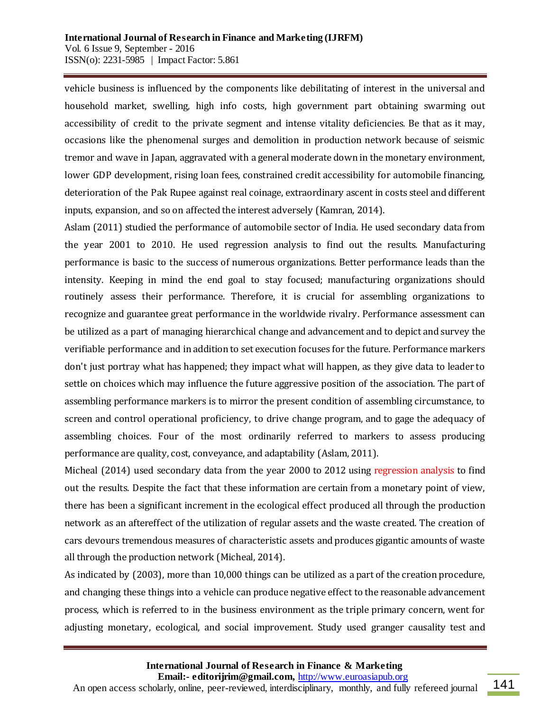vehicle business is influenced by the components like debilitating of interest in the universal and household market, swelling, high info costs, high government part obtaining swarming out accessibility of credit to the private segment and intense vitality deficiencies. Be that as it may, occasions like the phenomenal surges and demolition in production network because of seismic tremor and wave in Japan, aggravated with a general moderate down in the monetary environment, lower GDP development, rising loan fees, constrained credit accessibility for automobile financing, deterioration of the Pak Rupee against real coinage, extraordinary ascent in costs steel and different inputs, expansion, and so on affected the interest adversely (Kamran, 2014).

Aslam (2011) studied the performance of automobile sector of India. He used secondary data from the year 2001 to 2010. He used regression analysis to find out the results. Manufacturing performance is basic to the success of numerous organizations. Better performance leads than the intensity. Keeping in mind the end goal to stay focused; manufacturing organizations should routinely assess their performance. Therefore, it is crucial for assembling organizations to recognize and guarantee great performance in the worldwide rivalry. Performance assessment can be utilized as a part of managing hierarchical change and advancement and to depict and survey the verifiable performance and in addition to set execution focuses for the future. Performance markers don't just portray what has happened; they impact what will happen, as they give data to leader to settle on choices which may influence the future aggressive position of the association. The part of assembling performance markers is to mirror the present condition of assembling circumstance, to screen and control operational proficiency, to drive change program, and to gage the adequacy of assembling choices. Four of the most ordinarily referred to markers to assess producing performance are quality, cost, conveyance, and adaptability (Aslam, 2011).

Micheal (2014) used secondary data from the year 2000 to 2012 using regression analysis to find out the results. Despite the fact that these information are certain from a monetary point of view, there has been a significant increment in the ecological effect produced all through the production network as an aftereffect of the utilization of regular assets and the waste created. The creation of cars devours tremendous measures of characteristic assets and produces gigantic amounts of waste all through the production network (Micheal, 2014).

As indicated by (2003), more than 10,000 things can be utilized as a part of the creation procedure, and changing these things into a vehicle can produce negative effect to the reasonable advancement process, which is referred to in the business environment as the triple primary concern, went for adjusting monetary, ecological, and social improvement. Study used granger causality test and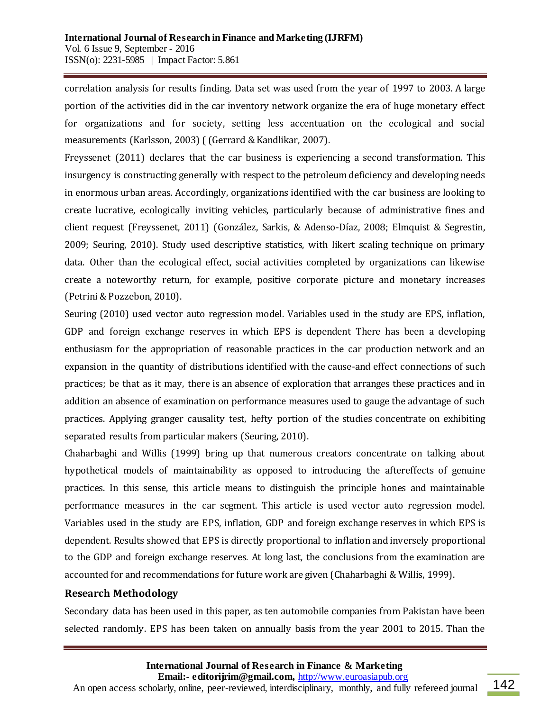correlation analysis for results finding. Data set was used from the year of 1997 to 2003. A large portion of the activities did in the car inventory network organize the era of huge monetary effect for organizations and for society, setting less accentuation on the ecological and social measurements (Karlsson, 2003) ( (Gerrard & Kandlikar, 2007).

Freyssenet (2011) declares that the car business is experiencing a second transformation. This insurgency is constructing generally with respect to the petroleum deficiency and developing needs in enormous urban areas. Accordingly, organizations identified with the car business are looking to create lucrative, ecologically inviting vehicles, particularly because of administrative fines and client request (Freyssenet, 2011) (González, Sarkis, & Adenso-Díaz, 2008; Elmquist & Segrestin, 2009; Seuring, 2010). Study used descriptive statistics, with likert scaling technique on primary data. Other than the ecological effect, social activities completed by organizations can likewise create a noteworthy return, for example, positive corporate picture and monetary increases (Petrini & Pozzebon, 2010).

Seuring (2010) used vector auto regression model. Variables used in the study are EPS, inflation, GDP and foreign exchange reserves in which EPS is dependent There has been a developing enthusiasm for the appropriation of reasonable practices in the car production network and an expansion in the quantity of distributions identified with the cause-and effect connections of such practices; be that as it may, there is an absence of exploration that arranges these practices and in addition an absence of examination on performance measures used to gauge the advantage of such practices. Applying granger causality test, hefty portion of the studies concentrate on exhibiting separated results from particular makers (Seuring, 2010).

Chaharbaghi and Willis (1999) bring up that numerous creators concentrate on talking about hypothetical models of maintainability as opposed to introducing the aftereffects of genuine practices. In this sense, this article means to distinguish the principle hones and maintainable performance measures in the car segment. This article is used vector auto regression model. Variables used in the study are EPS, inflation, GDP and foreign exchange reserves in which EPS is dependent. Results showed that EPS is directly proportional to inflation and inversely proportional to the GDP and foreign exchange reserves. At long last, the conclusions from the examination are accounted for and recommendations for future work are given (Chaharbaghi & Willis, 1999).

### **Research Methodology**

Secondary data has been used in this paper, as ten automobile companies from Pakistan have been selected randomly. EPS has been taken on annually basis from the year 2001 to 2015. Than the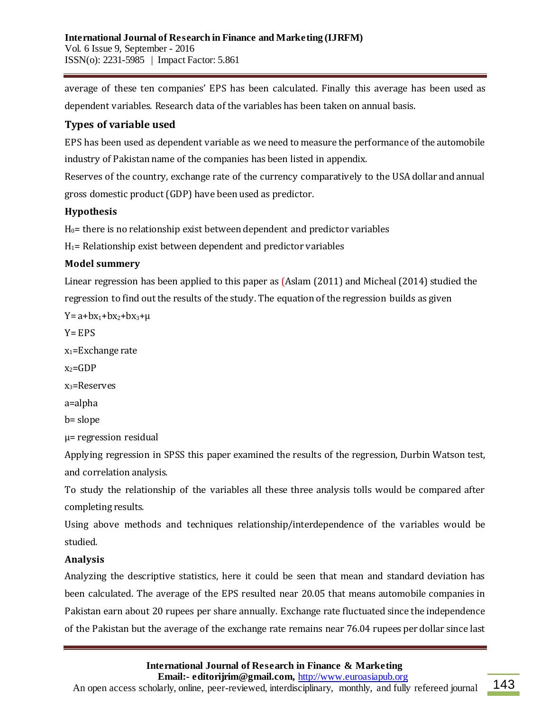average of these ten companies' EPS has been calculated. Finally this average has been used as dependent variables. Research data of the variables has been taken on annual basis.

# **Types of variable used**

EPS has been used as dependent variable as we need to measure the performance of the automobile industry of Pakistan name of the companies has been listed in appendix.

Reserves of the country, exchange rate of the currency comparatively to the USA dollar and annual gross domestic product (GDP) have been used as predictor.

# **Hypothesis**

 $H<sub>0</sub>=$  there is no relationship exist between dependent and predictor variables

 $H_1$ = Relationship exist between dependent and predictor variables

# **Model summery**

Linear regression has been applied to this paper as (Aslam (2011) and Micheal (2014) studied the regression to find out the results of the study. The equation of the regression builds as given

 $Y = a + bx_1 + bx_2 + bx_3 + \mu$  $Y = FPS$  $x_1$ =Exchange rate  $x_2 = GDP$  $x_3$ =Reserves a=alpha b= slope µ= regression residual

Applying regression in SPSS this paper examined the results of the regression, Durbin Watson test, and correlation analysis.

To study the relationship of the variables all these three analysis tolls would be compared after completing results.

Using above methods and techniques relationship/interdependence of the variables would be studied.

# **Analysis**

Analyzing the descriptive statistics, here it could be seen that mean and standard deviation has been calculated. The average of the EPS resulted near 20.05 that means automobile companies in Pakistan earn about 20 rupees per share annually. Exchange rate fluctuated since the independence of the Pakistan but the average of the exchange rate remains near 76.04 rupees per dollar since last

**International Journal of Research in Finance & Marketing**

 **Email:- editorijrim@gmail.com,** http://www.euroasiapub.org

An open access scholarly, online, peer-reviewed, interdisciplinary, monthly, and fully refereed journal 143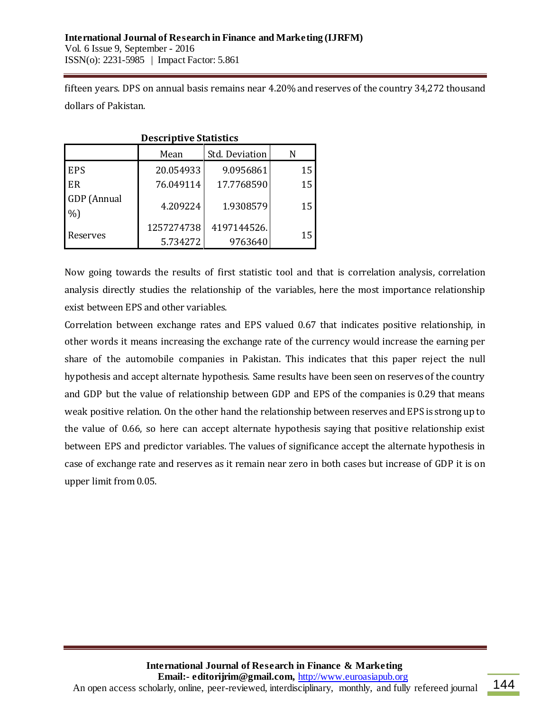fifteen years. DPS on annual basis remains near 4.20% and reserves of the country 34,272 thousand dollars of Pakistan.

| <b>Descriptive Statistics</b> |            |             |    |  |  |  |
|-------------------------------|------------|-------------|----|--|--|--|
| Std. Deviation<br>Mean        |            |             |    |  |  |  |
| <b>EPS</b>                    | 20.054933  | 9.0956861   | 15 |  |  |  |
| l ER                          | 76.049114  | 17.7768590  | 15 |  |  |  |
| <b>GDP</b> (Annual            | 4.209224   | 1.9308579   | 15 |  |  |  |
| $\%$ )                        |            |             |    |  |  |  |
| Reserves                      | 1257274738 | 4197144526. | 15 |  |  |  |
|                               | 5.734272   | 9763640     |    |  |  |  |

Now going towards the results of first statistic tool and that is correlation analysis, correlation analysis directly studies the relationship of the variables, here the most importance relationship exist between EPS and other variables.

Correlation between exchange rates and EPS valued 0.67 that indicates positive relationship, in other words it means increasing the exchange rate of the currency would increase the earning per share of the automobile companies in Pakistan. This indicates that this paper reject the null hypothesis and accept alternate hypothesis. Same results have been seen on reserves of the country and GDP but the value of relationship between GDP and EPS of the companies is 0.29 that means weak positive relation. On the other hand the relationship between reserves and EPS is strong up to the value of 0.66, so here can accept alternate hypothesis saying that positive relationship exist between EPS and predictor variables. The values of significance accept the alternate hypothesis in case of exchange rate and reserves as it remain near zero in both cases but increase of GDP it is on upper limit from 0.05.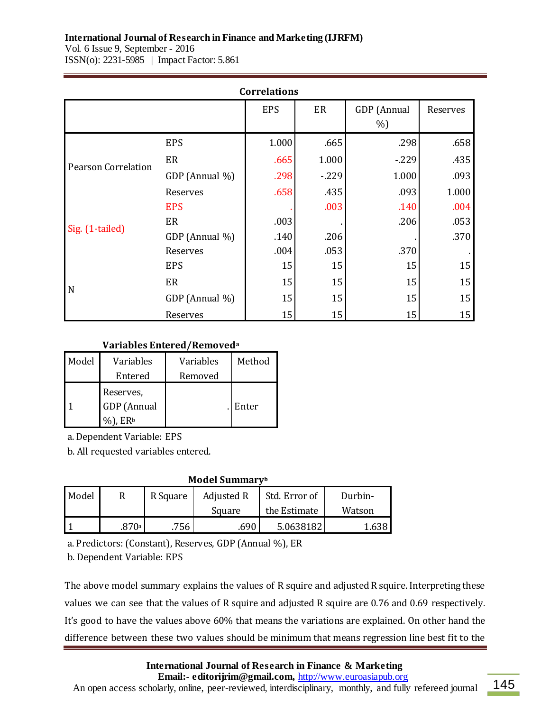# **International Journal of Research in Finance and Marketing (IJRFM)**

Vol. 6 Issue 9, September - 2016 ISSN(o): 2231-5985 | Impact Factor: 5.861

| <b>Correlations</b>        |                |            |        |                      |          |  |  |
|----------------------------|----------------|------------|--------|----------------------|----------|--|--|
|                            |                | <b>EPS</b> | ER     | GDP (Annual<br>$%$ ) | Reserves |  |  |
|                            | <b>EPS</b>     | 1.000      | .665   | .298                 | .658     |  |  |
| <b>Pearson Correlation</b> | ER             | .665       | 1.000  | $-229$               | .435     |  |  |
|                            | GDP (Annual %) | .298       | $-229$ | 1.000                | .093     |  |  |
|                            | Reserves       | .658       | .435   | .093                 | 1.000    |  |  |
|                            | <b>EPS</b>     |            | .003   | .140                 | .004     |  |  |
| Sig. (1-tailed)            | ER             | .003       |        | .206                 | .053     |  |  |
|                            | GDP (Annual %) | .140       | .206   |                      | .370     |  |  |
|                            | Reserves       | .004       | .053   | .370                 |          |  |  |
| $\mathbf N$                | <b>EPS</b>     | 15         | 15     | 15                   | 15       |  |  |
|                            | ER             | 15         | 15     | 15                   | 15       |  |  |
|                            | GDP (Annual %) | 15         | 15     | 15                   | 15       |  |  |
|                            | Reserves       | 15         | 15     | 15                   | 15       |  |  |

#### **Variables Entered/Removed<sup>a</sup>**

| Model | Variables                          | Variables | Method |
|-------|------------------------------------|-----------|--------|
|       | Entered                            | Removed   |        |
|       | Reserves,<br>GDP (Annual<br>. E.Rb |           | Enter  |

a. Dependent Variable: EPS

b. All requested variables entered.

#### **Model Summary<sup>b</sup>**

| Model | R     | R Square | Adjusted R | Std. Error of | Durbin- |  |
|-------|-------|----------|------------|---------------|---------|--|
|       |       |          | Square     | the Estimate  | Watson  |  |
|       | .870ª | 756      | .690       | 5.0638182     | 1.638   |  |

a. Predictors: (Constant), Reserves, GDP (Annual %), ER

b. Dependent Variable: EPS

The above model summary explains the values of R squire and adjusted R squire. Interpreting these values we can see that the values of R squire and adjusted R squire are 0.76 and 0.69 respectively. It's good to have the values above 60% that means the variations are explained. On other hand the difference between these two values should be minimum that means regression line best fit to the

**International Journal of Research in Finance & Marketing**

 **Email:- editorijrim@gmail.com,** http://www.euroasiapub.org

An open access scholarly, online, peer-reviewed, interdisciplinary, monthly, and fully refereed journal 145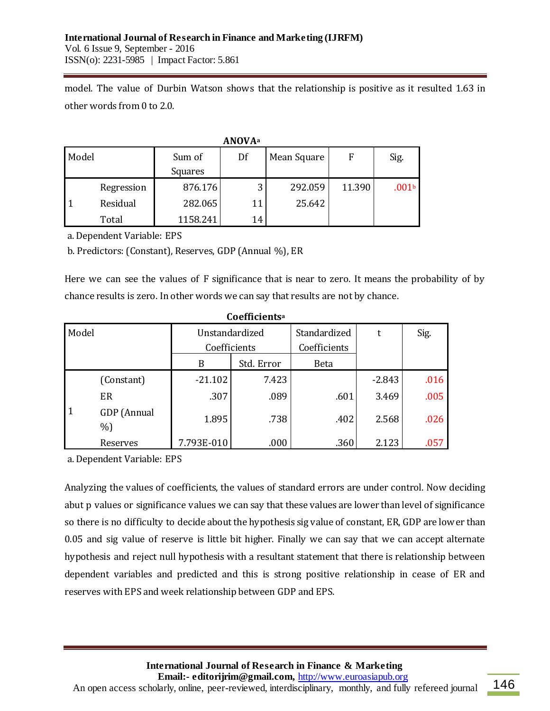model. The value of Durbin Watson shows that the relationship is positive as it resulted 1.63 in other words from 0 to 2.0.

| <b>ANOVA</b> <sup>a</sup> |            |          |    |             |        |                   |  |
|---------------------------|------------|----------|----|-------------|--------|-------------------|--|
| Model                     |            | Sum of   | Df | Mean Square | F      | Sig.              |  |
|                           |            | Squares  |    |             |        |                   |  |
|                           | Regression | 876.176  | 3  | 292.059     | 11.390 | .001 <sub>b</sub> |  |
|                           | Residual   | 282.065  | 11 | 25.642      |        |                   |  |
|                           | Total      | 1158.241 | 14 |             |        |                   |  |

a. Dependent Variable: EPS

b. Predictors: (Constant), Reserves, GDP (Annual %), ER

Here we can see the values of F significance that is near to zero. It means the probability of by chance results is zero. In other words we can say that results are not by chance.

| uvumuu       |                  |                |              |              |          |      |  |
|--------------|------------------|----------------|--------------|--------------|----------|------|--|
| Model        |                  | Unstandardized |              | Standardized | t        | Sig. |  |
|              |                  |                | Coefficients | Coefficients |          |      |  |
|              |                  | B              | Std. Error   | Beta         |          |      |  |
|              | (Constant)       | $-21.102$      | 7.423        |              | $-2.843$ | .016 |  |
|              | ER               | .307           | .089         | .601         | 3.469    | .005 |  |
| $\mathbf{1}$ | GDP (Annual<br>% | 1.895          | .738         | .402         | 2.568    | .026 |  |
|              | Reserves         | 7.793E-010     | .000         | .360         | 2.123    | .057 |  |

**Coefficients<sup>a</sup>**

a. Dependent Variable: EPS

Analyzing the values of coefficients, the values of standard errors are under control. Now deciding abut p values or significance values we can say that these values are lower than level of significance so there is no difficulty to decide about the hypothesis sig value of constant, ER, GDP are lower than 0.05 and sig value of reserve is little bit higher. Finally we can say that we can accept alternate hypothesis and reject null hypothesis with a resultant statement that there is relationship between dependent variables and predicted and this is strong positive relationship in cease of ER and reserves with EPS and week relationship between GDP and EPS.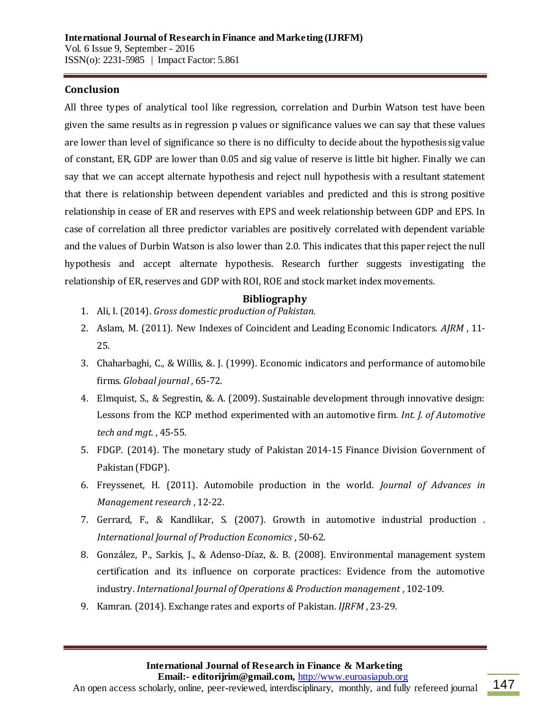## **Conclusion**

All three types of analytical tool like regression, correlation and Durbin Watson test have been given the same results as in regression p values or significance values we can say that these values are lower than level of significance so there is no difficulty to decide about the hypothesis sig value of constant, ER, GDP are lower than 0.05 and sig value of reserve is little bit higher. Finally we can say that we can accept alternate hypothesis and reject null hypothesis with a resultant statement that there is relationship between dependent variables and predicted and this is strong positive relationship in cease of ER and reserves with EPS and week relationship between GDP and EPS. In case of correlation all three predictor variables are positively correlated with dependent variable and the values of Durbin Watson is also lower than 2.0. This indicates that this paper reject the null hypothesis and accept alternate hypothesis. Research further suggests investigating the relationship of ER, reserves and GDP with ROI, ROE and stock market index movements.

#### **Bibliography**

- 1. Ali, I. (2014). *Gross domestic production of Pakistan.*
- 2. Aslam, M. (2011). New Indexes of Coincident and Leading Economic Indicators. *AJRM* , 11- 25.
- 3. Chaharbaghi, C., & Willis, &. J. (1999). Economic indicators and performance of automobile firms. *Globaal journal* , 65-72.
- 4. Elmquist, S., & Segrestin, &. A. (2009). Sustainable development through innovative design: Lessons from the KCP method experimented with an automotive firm. *Int. J. of Automotive tech and mgt.* , 45-55.
- 5. FDGP. (2014). The monetary study of Pakistan 2014-15 Finance Division Government of Pakistan (FDGP).
- 6. Freyssenet, H. (2011). Automobile production in the world. *Journal of Advances in Management research* , 12-22.
- 7. Gerrard, F., & Kandlikar, S. (2007). Growth in automotive industrial production . *International Journal of Production Economics* , 50-62.
- 8. González, P., Sarkis, J., & Adenso-Díaz, &. B. (2008). Environmental management system certification and its influence on corporate practices: Evidence from the automotive industry. *International Journal of Operations & Production management* , 102-109.
- 9. Kamran. (2014). Exchange rates and exports of Pakistan. *IJRFM* , 23-29.

 **Email:- editorijrim@gmail.com,** http://www.euroasiapub.org